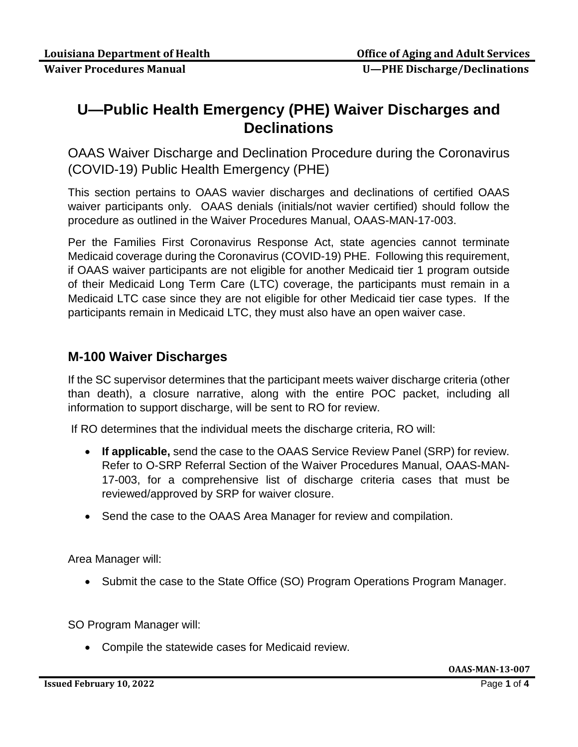## **U—Public Health Emergency (PHE) Waiver Discharges and Declinations**

OAAS Waiver Discharge and Declination Procedure during the Coronavirus (COVID-19) Public Health Emergency (PHE)

This section pertains to OAAS wavier discharges and declinations of certified OAAS waiver participants only. OAAS denials (initials/not wavier certified) should follow the procedure as outlined in the Waiver Procedures Manual, OAAS-MAN-17-003.

Per the Families First Coronavirus Response Act, state agencies cannot terminate Medicaid coverage during the Coronavirus (COVID-19) PHE. Following this requirement, if OAAS waiver participants are not eligible for another Medicaid tier 1 program outside of their Medicaid Long Term Care (LTC) coverage, the participants must remain in a Medicaid LTC case since they are not eligible for other Medicaid tier case types. If the participants remain in Medicaid LTC, they must also have an open waiver case.

## **M-100 Waiver Discharges**

If the SC supervisor determines that the participant meets waiver discharge criteria (other than death), a closure narrative, along with the entire POC packet, including all information to support discharge, will be sent to RO for review.

If RO determines that the individual meets the discharge criteria, RO will:

- **If applicable,** send the case to the OAAS Service Review Panel (SRP) for review. Refer to O-SRP Referral Section of the Waiver Procedures Manual, OAAS-MAN-17-003, for a comprehensive list of discharge criteria cases that must be reviewed/approved by SRP for waiver closure.
- Send the case to the OAAS Area Manager for review and compilation.

Area Manager will:

• Submit the case to the State Office (SO) Program Operations Program Manager.

SO Program Manager will:

• Compile the statewide cases for Medicaid review.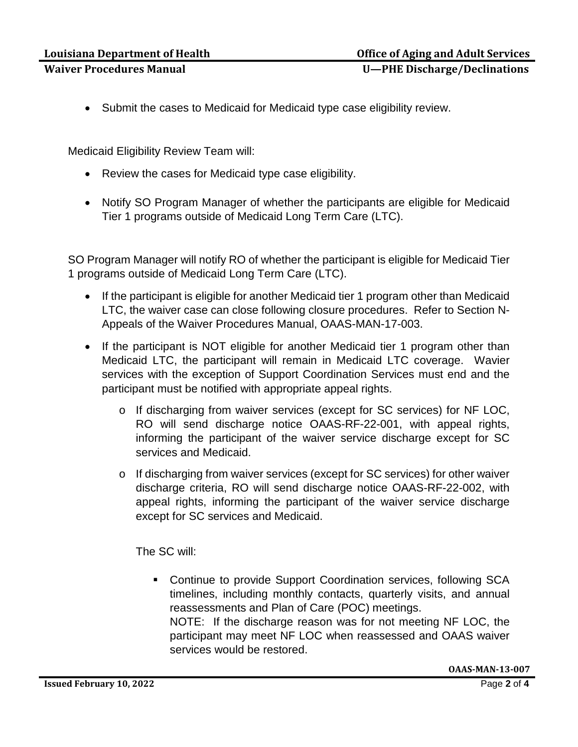- - Submit the cases to Medicaid for Medicaid type case eligibility review.

Medicaid Eligibility Review Team will:

- Review the cases for Medicaid type case eligibility.
- Notify SO Program Manager of whether the participants are eligible for Medicaid Tier 1 programs outside of Medicaid Long Term Care (LTC).

SO Program Manager will notify RO of whether the participant is eligible for Medicaid Tier 1 programs outside of Medicaid Long Term Care (LTC).

- If the participant is eligible for another Medicaid tier 1 program other than Medicaid LTC, the waiver case can close following closure procedures. Refer to Section N-Appeals of the Waiver Procedures Manual, OAAS-MAN-17-003.
- If the participant is NOT eligible for another Medicaid tier 1 program other than Medicaid LTC, the participant will remain in Medicaid LTC coverage. Wavier services with the exception of Support Coordination Services must end and the participant must be notified with appropriate appeal rights.
	- o If discharging from waiver services (except for SC services) for NF LOC, RO will send discharge notice OAAS-RF-22-001, with appeal rights, informing the participant of the waiver service discharge except for SC services and Medicaid.
	- o If discharging from waiver services (except for SC services) for other waiver discharge criteria, RO will send discharge notice OAAS-RF-22-002, with appeal rights, informing the participant of the waiver service discharge except for SC services and Medicaid.

The SC will:

 Continue to provide Support Coordination services, following SCA timelines, including monthly contacts, quarterly visits, and annual reassessments and Plan of Care (POC) meetings. NOTE: If the discharge reason was for not meeting NF LOC, the participant may meet NF LOC when reassessed and OAAS waiver services would be restored.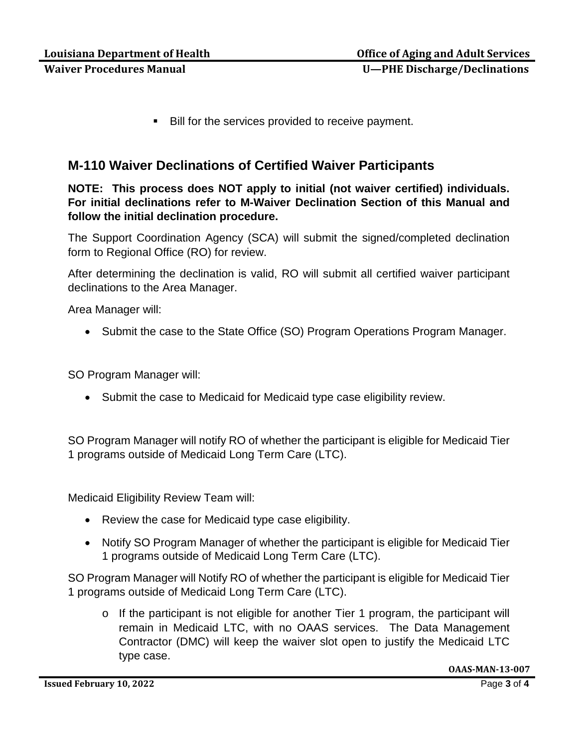Bill for the services provided to receive payment.

## **M-110 Waiver Declinations of Certified Waiver Participants**

**NOTE: This process does NOT apply to initial (not waiver certified) individuals. For initial declinations refer to M-Waiver Declination Section of this Manual and follow the initial declination procedure.**

The Support Coordination Agency (SCA) will submit the signed/completed declination form to Regional Office (RO) for review.

After determining the declination is valid, RO will submit all certified waiver participant declinations to the Area Manager.

Area Manager will:

• Submit the case to the State Office (SO) Program Operations Program Manager.

SO Program Manager will:

• Submit the case to Medicaid for Medicaid type case eligibility review.

SO Program Manager will notify RO of whether the participant is eligible for Medicaid Tier 1 programs outside of Medicaid Long Term Care (LTC).

Medicaid Eligibility Review Team will:

- Review the case for Medicaid type case eligibility.
- Notify SO Program Manager of whether the participant is eligible for Medicaid Tier 1 programs outside of Medicaid Long Term Care (LTC).

SO Program Manager will Notify RO of whether the participant is eligible for Medicaid Tier 1 programs outside of Medicaid Long Term Care (LTC).

o If the participant is not eligible for another Tier 1 program, the participant will remain in Medicaid LTC, with no OAAS services. The Data Management Contractor (DMC) will keep the waiver slot open to justify the Medicaid LTC type case.

**OAAS-MAN-13-007**